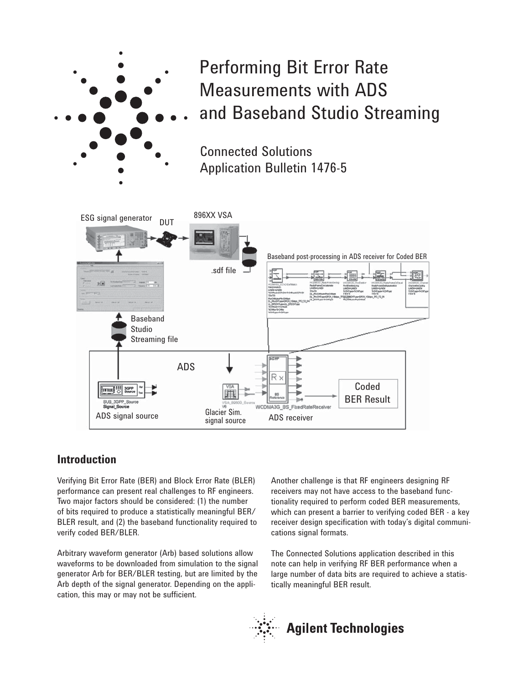

Performing Bit Error Rate Measurements with ADS and Baseband Studio Streaming

Connected Solutions Application Bulletin 1476-5



## **Introduction**

Verifying Bit Error Rate (BER) and Block Error Rate (BLER) performance can present real challenges to RF engineers. Two major factors should be considered: (1) the number of bits required to produce a statistically meaningful BER/ BLER result, and (2) the baseband functionality required to verify coded BER/BLER.

Arbitrary waveform generator (Arb) based solutions allow waveforms to be downloaded from simulation to the signal generator Arb for BER/BLER testing, but are limited by the Arb depth of the signal generator. Depending on the application, this may or may not be sufficient.

Another challenge is that RF engineers designing RF receivers may not have access to the baseband functionality required to perform coded BER measurements, which can present a barrier to verifying coded BER - a key receiver design specification with today's digital communications signal formats.

The Connected Solutions application described in this note can help in verifying RF BER performance when a large number of data bits are required to achieve a statistically meaningful BER result.

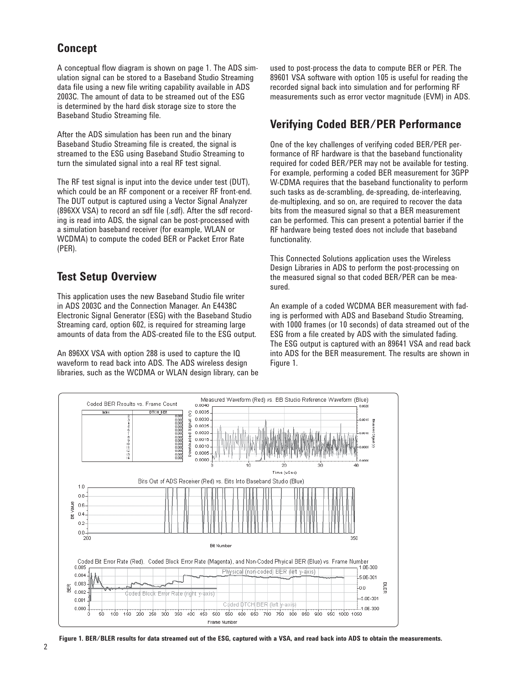# **Concept**

A conceptual flow diagram is shown on page 1. The ADS simulation signal can be stored to a Baseband Studio Streaming data file using a new file writing capability available in ADS 2003C. The amount of data to be streamed out of the ESG is determined by the hard disk storage size to store the Baseband Studio Streaming file.

After the ADS simulation has been run and the binary Baseband Studio Streaming file is created, the signal is streamed to the ESG using Baseband Studio Streaming to turn the simulated signal into a real RF test signal.

The RF test signal is input into the device under test (DUT), which could be an RF component or a receiver RF front-end. The DUT output is captured using a Vector Signal Analyzer (896XX VSA) to record an sdf file (.sdf). After the sdf recording is read into ADS, the signal can be post-processed with a simulation baseband receiver (for example, WLAN or WCDMA) to compute the coded BER or Packet Error Rate (PER).

# **Test Setup Overview**

This application uses the new Baseband Studio file writer in ADS 2003C and the Connection Manager. An E4438C Electronic Signal Generator (ESG) with the Baseband Studio Streaming card, option 602, is required for streaming large amounts of data from the ADS-created file to the ESG output.

An 896XX VSA with option 288 is used to capture the IQ waveform to read back into ADS. The ADS wireless design libraries, such as the WCDMA or WLAN design library, can be used to post-process the data to compute BER or PER. The 89601 VSA software with option 105 is useful for reading the recorded signal back into simulation and for performing RF measurements such as error vector magnitude (EVM) in ADS.

# **Verifying Coded BER/PER Performance**

One of the key challenges of verifying coded BER/PER performance of RF hardware is that the baseband functionality required for coded BER/PER may not be available for testing. For example, performing a coded BER measurement for 3GPP W-CDMA requires that the baseband functionality to perform such tasks as de-scrambling, de-spreading, de-interleaving, de-multiplexing, and so on, are required to recover the data bits from the measured signal so that a BER measurement can be performed. This can present a potential barrier if the RF hardware being tested does not include that baseband functionality.

This Connected Solutions application uses the Wireless Design Libraries in ADS to perform the post-processing on the measured signal so that coded BER/PER can be measured.

An example of a coded WCDMA BER measurement with fading is performed with ADS and Baseband Studio Streaming, with 1000 frames (or 10 seconds) of data streamed out of the ESG from a file created by ADS with the simulated fading. The ESG output is captured with an 89641 VSA and read back into ADS for the BER measurement. The results are shown in Figure 1.



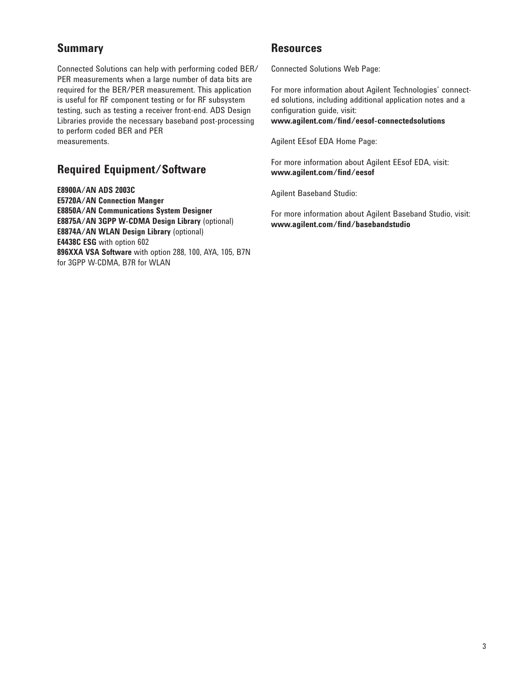# **Summary**

Connected Solutions can help with performing coded BER/ PER measurements when a large number of data bits are required for the BER/PER measurement. This application is useful for RF component testing or for RF subsystem testing, such as testing a receiver front-end. ADS Design Libraries provide the necessary baseband post-processing to perform coded BER and PER measurements.

# **Required Equipment/Software**

**E8900A/AN ADS 2003C E5720A/AN Connection Manger E8850A/AN Communications System Designer E8875A/AN 3GPP W-CDMA Design Library** (optional) **E8874A/AN WLAN Design Library** (optional) **E4438C ESG** with option 602 **896XXA VSA Software** with option 288, 100, AYA, 105, B7N for 3GPP W-CDMA, B7R for WLAN

## **Resources**

Connected Solutions Web Page:

For more information about Agilent Technologies' connected solutions, including additional application notes and a configuration guide, visit: **www.agilent.com/find/eesof-connectedsolutions**

Agilent EEsof EDA Home Page:

For more information about Agilent EEsof EDA, visit: **www.agilent.com/find/eesof**

Agilent Baseband Studio:

For more information about Agilent Baseband Studio, visit: **www.agilent.com/find/basebandstudio**